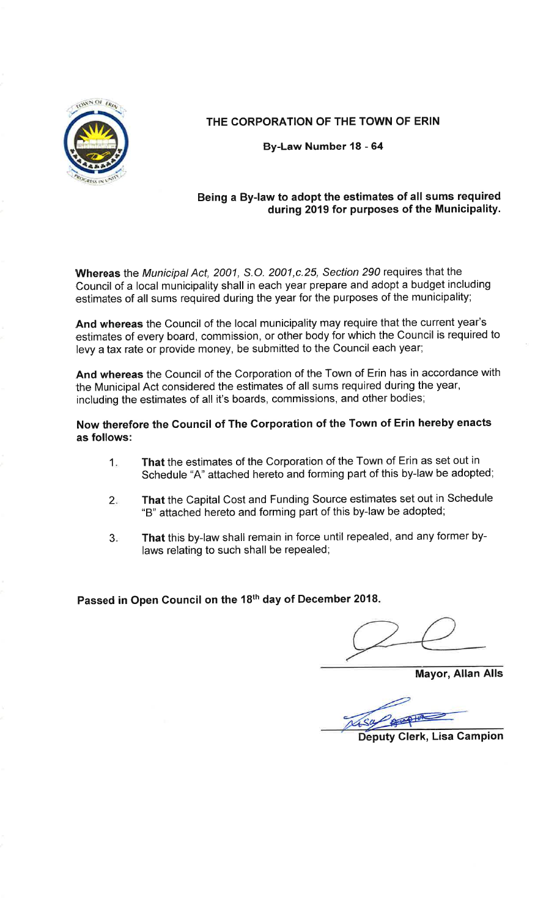

THE CORPORATION OF THE TOWN OF ERIN

By-Law Number <sup>18</sup>- <sup>64</sup>

# Being a By-law to adopt the estimates of all sums requiredduring 2019 for purposes of the Municipality.

Whereas the Municipal Act, 2001, S.O. 2001, c.25, Section 290 requires that the Council of a local municipality shall in each year prepare and adopt a budget includingestimates of all sums required during the year for the purposes of the municipality;

And whereas the Council of the local municipality may require that the current year's estimates of every board, commission, or other body for which the Council is required tolevy a tax rate or provide money, be submitted to the Council each year;

And whereas the Council of the Corporation of the Town of Erin has in accordance withthe Municipal Act considered the estimates of all sums required during the year, including the estimates of all it's boards, commissions, and other bodies;

Now therefore the Council of The Corporation of the Town of Erin hereby enactsas follows:

- That the estimates of the Corporation of the Town of Erin as set out inSchedule "A" attached hereto and forming part of this by-law be adopted 1
- That the Capital Cost and Funding Source estimates set out in Schedule"8" attached hereto and forming part of this by-law be adopted;  $2.$
- That this by-law shall remain in force until repealed, and any former bylaws relating to such shall be repealed;  $3.$

Passed in Open Council on the 18th day of December 2018.

Mayor, Allan Alls

Deputy Clerk, Lisa Campion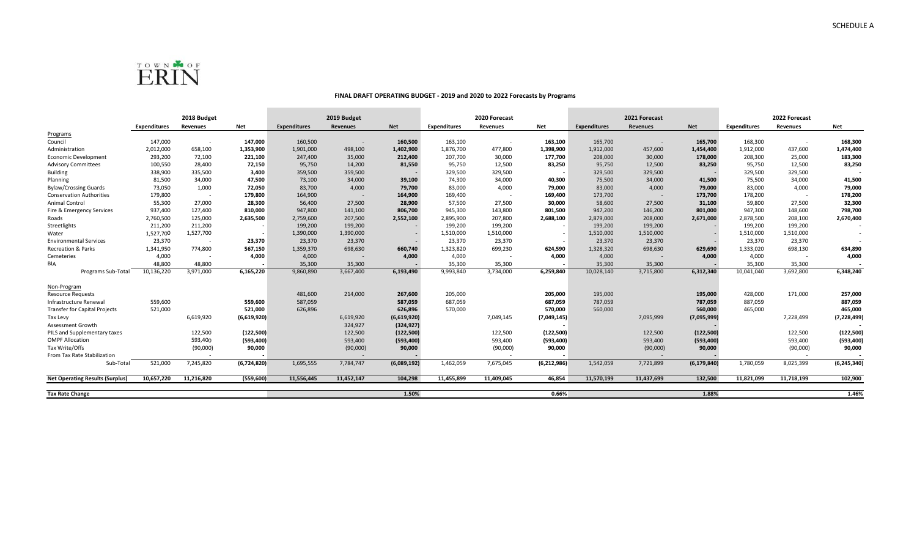

#### **FINAL DRAFT OPERATING BUDGET ‐ 2019 and 2020 to 2022 Forecasts by Programs**

|                                        |                     | 2018 Budget     |             |                     | 2019 Budget     |             |                     | 2020 Forecast   |               |              | 2021 Forecast   |               |                     | 2022 Forecast   |               |
|----------------------------------------|---------------------|-----------------|-------------|---------------------|-----------------|-------------|---------------------|-----------------|---------------|--------------|-----------------|---------------|---------------------|-----------------|---------------|
|                                        | <b>Expenditures</b> | <b>Revenues</b> | <b>Net</b>  | <b>Expenditures</b> | <b>Revenues</b> | <b>Net</b>  | <b>Expenditures</b> | <b>Revenues</b> | <b>Net</b>    | Expenditures | <b>Revenues</b> | <b>Net</b>    | <b>Expenditures</b> | <b>Revenues</b> | Net           |
| Programs                               |                     |                 |             |                     |                 |             |                     |                 |               |              |                 |               |                     |                 |               |
| Council                                | 147,000             |                 | 147,000     | 160,500             |                 | 160,500     | 163,100             |                 | 163,100       | 165,700      |                 | 165,700       | 168,300             |                 | 168,300       |
| Administration                         | 2,012,000           | 658,100         | 1,353,900   | 1,901,000           | 498,100         | 1,402,900   | 1,876,700           | 477,800         | 1,398,900     | 1,912,000    | 457,600         | 1,454,400     | 1,912,000           | 437,600         | 1,474,400     |
| <b>Economic Development</b>            | 293,200             | 72,100          | 221,100     | 247,400             | 35,000          | 212,400     | 207,700             | 30,000          | 177,700       | 208,000      | 30,000          | 178,000       | 208,300             | 25,000          | 183,300       |
| <b>Advisory Committees</b>             | 100,550             | 28,400          | 72,150      | 95,750              | 14,200          | 81,550      | 95,750              | 12,500          | 83,250        | 95,750       | 12,500          | 83,250        | 95,750              | 12,500          | 83,250        |
| <b>Building</b>                        | 338,900             | 335,500         | 3,400       | 359,500             | 359,500         |             | 329,500             | 329,500         |               | 329,500      | 329,500         |               | 329,500             | 329,500         |               |
| Planning                               | 81,500              | 34,000          | 47,500      | 73,100              | 34,000          | 39,100      | 74,300              | 34,000          | 40,300        | 75,500       | 34,000          | 41,500        | 75,500              | 34,000          | 41,500        |
| <b>Bylaw/Crossing Guards</b>           | 73,050              | 1,000           | 72,050      | 83,700              | 4,000           | 79,700      | 83,000              | 4,000           | 79,000        | 83,000       | 4,000           | 79,000        | 83,000              | 4,000           | 79,000        |
| <b>Conservation Authorities</b>        | 179,800             |                 | 179,800     | 164,900             |                 | 164,900     | 169,400             |                 | 169,400       | 173,700      |                 | 173,700       | 178,200             | $\sim$          | 178,200       |
| <b>Animal Control</b>                  | 55,300              | 27,000          | 28,300      | 56,400              | 27,500          | 28,900      | 57,500              | 27,500          | 30,000        | 58,600       | 27,500          | 31,100        | 59,800              | 27,500          | 32,300        |
| Fire & Emergency Services              | 937,400             | 127,400         | 810,000     | 947,800             | 141,100         | 806,700     | 945,300             | 143,800         | 801,500       | 947,200      | 146,200         | 801,000       | 947,300             | 148,600         | 798,700       |
| Roads                                  | 2,760,500           | 125,000         | 2,635,500   | 2,759,600           | 207,500         | 2,552,100   | 2,895,900           | 207,800         | 2,688,100     | 2,879,000    | 208,000         | 2,671,000     | 2,878,500           | 208,100         | 2,670,400     |
| Streetlights                           | 211,200             | 211,200         |             | 199,200             | 199,200         |             | 199,200             | 199,200         |               | 199,200      | 199,200         |               | 199,200             | 199,200         |               |
| Water                                  | 1,527,700           | 1,527,700       |             | 1,390,000           | 1,390,000       |             | 1,510,000           | 1,510,000       |               | 1,510,000    | 1,510,000       |               | 1,510,000           | 1,510,000       |               |
| <b>Environmental Services</b>          | 23,370              |                 | 23,370      | 23,370              | 23,370          |             | 23,370              | 23,370          |               | 23,370       | 23,370          |               | 23,370              | 23,370          |               |
| <b>Recreation &amp; Parks</b>          | 1,341,950           | 774,800         | 567,150     | 1,359,370           | 698,630         | 660,740     | 1,323,820           | 699,230         | 624,590       | 1,328,320    | 698,630         | 629,690       | 1,333,020           | 698,130         | 634,890       |
| Cemeteries                             | 4,000               |                 | 4,000       | 4,000               |                 | 4,000       | 4,000               |                 | 4,000         | 4,000        |                 | 4,000         | 4,000               |                 | 4,000         |
| BIA                                    | 48,800              | 48,800          |             | 35,300              | 35,300          |             | 35,300              | 35,300          |               | 35,300       | 35,300          |               | 35,300              | 35,300          |               |
| Programs Sub-Total                     | 10,136,220          | 3,971,000       | 6,165,220   | 9,860,890           | 3,667,400       | 6,193,490   | 9,993,840           | 3,734,000       | 6,259,840     | 10,028,140   | 3,715,800       | 6,312,340     | 10,041,040          | 3,692,800       | 6,348,240     |
| Non-Program                            |                     |                 |             |                     |                 |             |                     |                 |               |              |                 |               |                     |                 |               |
| <b>Resource Requests</b>               |                     |                 |             | 481,600             | 214,000         | 267,600     | 205,000             |                 | 205,000       | 195,000      |                 | 195,000       | 428,000             | 171,000         | 257,000       |
| Infrastructure Renewal                 | 559,600             |                 | 559,600     | 587,059             |                 | 587,059     | 687,059             |                 | 687,059       | 787,059      |                 | 787,059       | 887,059             |                 | 887,059       |
| <b>Transfer for Capital Projects</b>   | 521,000             |                 | 521,000     | 626,896             |                 | 626,896     | 570,000             |                 | 570,000       | 560,000      |                 | 560,000       | 465,000             |                 | 465,000       |
| Tax Levy                               |                     | 6,619,920       | (6,619,920) |                     | 6,619,920       | (6,619,920) |                     | 7,049,145       | (7,049,145)   |              | 7,095,999       | (7,095,999)   |                     | 7,228,499       | (7, 228, 499) |
| Assessment Growth                      |                     |                 |             |                     | 324,927         | (324, 927)  |                     |                 |               |              |                 |               |                     |                 |               |
| PILS and Supplementary taxes           |                     | 122,500         | (122, 500)  |                     | 122,500         | (122, 500)  |                     | 122,500         | (122, 500)    |              | 122,500         | (122, 500)    |                     | 122,500         | (122, 500)    |
| <b>OMPF Allocation</b>                 |                     | 593,400         | (593, 400)  |                     | 593,400         | (593, 400)  |                     | 593,400         | (593, 400)    |              | 593,400         | (593, 400)    |                     | 593,400         | (593, 400)    |
| Tax Write/Offs                         |                     | (90,000)        | 90,000      |                     | (90,000)        | 90,000      |                     | (90,000)        | 90,000        |              | (90,000)        | 90,000        |                     | (90,000)        | 90,000        |
| From Tax Rate Stabilization            |                     |                 |             |                     |                 |             |                     |                 |               |              |                 |               |                     |                 |               |
| Sub-Total                              | 521,000             | 7,245,820       | (6,724,820) | 1,695,555           | 7,784,747       | (6,089,192) | 1,462,059           | 7,675,045       | (6, 212, 986) | 1,542,059    | 7,721,899       | (6, 179, 840) | 1,780,059           | 8,025,399       | (6, 245, 340) |
| <b>Net Operating Results (Surplus)</b> | 10,657,220          | 11,216,820      | (559,600)   | 11,556,445          | 11,452,147      | 104,298     | 11,455,899          | 11,409,045      | 46,854        | 11,570,199   | 11,437,699      | 132,500       | 11,821,099          | 11,718,199      | 102,900       |
| <b>Tax Rate Change</b>                 |                     |                 |             |                     |                 | 1.50%       |                     |                 | 0.66%         |              |                 | 1.88%         |                     |                 | 1.46%         |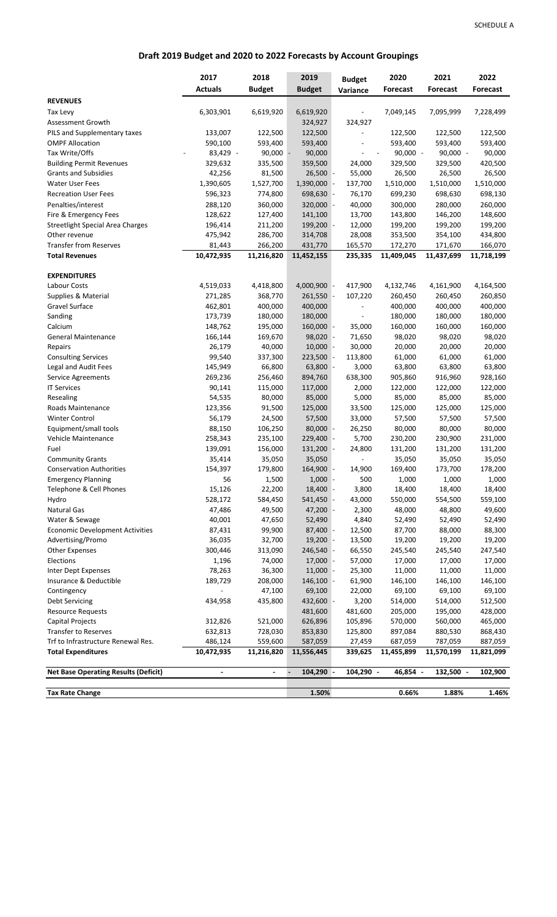# **Draft 2019 Budget and 2020 to 2022 Forecasts by Account Groupings**

|                                                          | 2017               | 2018               | 2019                 | <b>Budget</b>            | 2020                                   | 2021               | 2022               |
|----------------------------------------------------------|--------------------|--------------------|----------------------|--------------------------|----------------------------------------|--------------------|--------------------|
|                                                          | <b>Actuals</b>     | <b>Budget</b>      | <b>Budget</b>        | Variance                 | Forecast                               | <b>Forecast</b>    | <b>Forecast</b>    |
| <b>REVENUES</b>                                          |                    |                    |                      |                          |                                        |                    |                    |
| Tax Levy                                                 | 6,303,901          | 6,619,920          | 6,619,920            | $\overline{a}$           | 7,049,145                              | 7,095,999          | 7,228,499          |
| Assessment Growth                                        |                    |                    | 324,927              | 324,927                  |                                        |                    |                    |
| PILS and Supplementary taxes                             | 133,007            | 122,500            | 122,500              | $\overline{a}$           | 122,500                                | 122,500            | 122,500            |
| <b>OMPF Allocation</b>                                   | 590,100            | 593,400            | 593,400              | $\overline{\phantom{a}}$ | 593,400                                | 593,400            | 593,400            |
| Tax Write/Offs                                           | 83,429 -           | $90,000 -$         | 90,000               | $\overline{\phantom{a}}$ | $90,000 -$<br>$\overline{\phantom{a}}$ | $90,000 -$         | 90,000             |
| <b>Building Permit Revenues</b>                          | 329,632            | 335,500            | 359,500              | 24,000                   | 329,500                                | 329,500            | 420,500            |
| <b>Grants and Subsidies</b>                              | 42,256             | 81,500             | 26,500 -             | 55,000                   | 26,500                                 | 26,500             | 26,500             |
| <b>Water User Fees</b>                                   | 1,390,605          | 1,527,700          | 1,390,000            | 137,700                  | 1,510,000                              | 1,510,000          | 1,510,000          |
| <b>Recreation User Fees</b>                              | 596,323            | 774,800            | 698,630 -            | 76,170                   | 699,230                                | 698,630            | 698,130            |
| Penalties/interest                                       | 288,120            | 360,000            | 320,000 -            | 40,000                   | 300,000                                | 280,000            | 260,000            |
| Fire & Emergency Fees                                    | 128,622<br>196,414 | 127,400            | 141,100              | 13,700                   | 143,800                                | 146,200            | 148,600            |
| <b>Streetlight Special Area Charges</b><br>Other revenue |                    | 211,200<br>286,700 | 199,200 -            | 12,000                   | 199,200                                | 199,200            | 199,200            |
| <b>Transfer from Reserves</b>                            | 475,942<br>81,443  | 266,200            | 314,708<br>431,770   | 28,008<br>165,570        | 353,500<br>172,270                     | 354,100<br>171,670 | 434,800<br>166,070 |
| <b>Total Revenues</b>                                    | 10,472,935         | 11,216,820         | 11,452,155           | 235,335                  | 11,409,045                             | 11,437,699         | 11,718,199         |
|                                                          |                    |                    |                      |                          |                                        |                    |                    |
| <b>EXPENDITURES</b>                                      |                    |                    |                      |                          |                                        |                    |                    |
| Labour Costs                                             | 4,519,033          | 4,418,800          | 4,000,900            | 417,900                  | 4,132,746                              | 4,161,900          | 4,164,500          |
| <b>Supplies &amp; Material</b>                           | 271,285            | 368,770            | 261,550              | 107,220                  | 260,450                                | 260,450            | 260,850            |
| Gravel Surface                                           | 462,801            | 400,000            | 400,000              | $\overline{a}$           | 400,000                                | 400,000            | 400,000            |
| Sanding                                                  | 173,739            | 180,000            | 180,000              | $\overline{\phantom{a}}$ | 180,000                                | 180,000            | 180,000            |
| Calcium                                                  | 148,762            | 195,000            | 160,000 -            | 35,000                   | 160,000                                | 160,000            | 160,000            |
| <b>General Maintenance</b>                               | 166,144            | 169,670            | 98,020 -             | 71,650                   | 98,020                                 | 98,020             | 98,020             |
| Repairs                                                  | 26,179             | 40,000             | $10,000$ -           | 30,000                   | 20,000                                 | 20,000             | 20,000             |
| <b>Consulting Services</b>                               | 99,540             | 337,300            | 223,500 -            | 113,800                  | 61,000                                 | 61,000             | 61,000             |
| Legal and Audit Fees                                     | 145,949            | 66,800             | 63,800 -             | 3,000                    | 63,800                                 | 63,800             | 63,800             |
| Service Agreements                                       | 269,236            | 256,460            | 894,760              | 638,300                  | 905,860                                | 916,960            | 928,160            |
| <b>IT Services</b>                                       | 90,141             | 115,000            | 117,000              | 2,000                    | 122,000                                | 122,000            | 122,000            |
| Resealing                                                | 54,535             | 80,000             | 85,000               | 5,000                    | 85,000                                 | 85,000             | 85,000             |
| Roads Maintenance                                        | 123,356            | 91,500             | 125,000              | 33,500                   | 125,000                                | 125,000            | 125,000            |
| <b>Winter Control</b>                                    | 56,179             | 24,500             | 57,500               | 33,000                   | 57,500                                 | 57,500             | 57,500             |
| Equipment/small tools<br>Vehicle Maintenance             | 88,150<br>258,343  | 106,250            | 80,000 -             | 26,250                   | 80,000                                 | 80,000             | 80,000             |
| Fuel                                                     | 139,091            | 235,100<br>156,000 | 229,400<br>131,200 - | 5,700<br>24,800          | 230,200<br>131,200                     | 230,900<br>131,200 | 231,000<br>131,200 |
| <b>Community Grants</b>                                  | 35,414             | 35,050             | 35,050               | $\overline{a}$           | 35,050                                 | 35,050             | 35,050             |
| <b>Conservation Authorities</b>                          | 154,397            | 179,800            | 164,900 -            | 14,900                   | 169,400                                | 173,700            | 178,200            |
| <b>Emergency Planning</b>                                | 56                 | 1,500              | $1,000 -$            | 500                      | 1,000                                  | 1,000              | 1,000              |
| Telephone & Cell Phones                                  | 15,126             | 22,200             | 18,400 -             | 3,800                    | 18,400                                 | 18,400             | 18,400             |
| Hydro                                                    | 528,172            | 584,450            | 541,450 -            | 43,000                   | 550,000                                | 554,500            | 559,100            |
| <b>Natural Gas</b>                                       | 47,486             | 49,500             | 47,200 -             | 2,300                    | 48,000                                 | 48,800             | 49,600             |
| Water & Sewage                                           | 40,001             | 47,650             | 52,490               | 4,840                    | 52,490                                 | 52,490             | 52,490             |
| <b>Economic Development Activities</b>                   | 87,431             | 99,900             | 87,400 -             | 12,500                   | 87,700                                 | 88,000             | 88,300             |
| Advertising/Promo                                        | 36,035             | 32,700             | 19,200 -             | 13,500                   | 19,200                                 | 19,200             | 19,200             |
| <b>Other Expenses</b>                                    | 300,446            | 313,090            | 246,540 -            | 66,550                   | 245,540                                | 245,540            | 247,540            |
| Elections                                                | 1,196              | 74,000             | 17,000 -             | 57,000                   | 17,000                                 | 17,000             | 17,000             |
| <b>Inter Dept Expenses</b>                               | 78,263             | 36,300             | 11,000 -             | 25,300                   | 11,000                                 | 11,000             | 11,000             |
| Insurance & Deductible                                   | 189,729            | 208,000            | 146,100 -            | 61,900                   | 146,100                                | 146,100            | 146,100            |
| Contingency                                              |                    | 47,100             | 69,100               | 22,000                   | 69,100                                 | 69,100             | 69,100             |
| <b>Debt Servicing</b>                                    | 434,958            | 435,800            | 432,600 -            | 3,200                    | 514,000                                | 514,000            | 512,500            |
| <b>Resource Requests</b>                                 |                    |                    | 481,600              | 481,600                  | 205,000                                | 195,000            | 428,000            |
| <b>Capital Projects</b>                                  | 312,826            | 521,000            | 626,896              | 105,896                  | 570,000                                | 560,000            | 465,000            |
| <b>Transfer to Reserves</b>                              | 632,813            | 728,030            | 853,830              | 125,800                  | 897,084                                | 880,530            | 868,430            |
| Trf to Infrastructure Renewal Res.                       | 486,124            | 559,600            | 587,059              | 27,459                   | 687,059                                | 787,059            | 887,059            |
| <b>Total Expenditures</b>                                | 10,472,935         | 11,216,820         | 11,556,445           | 339,625                  | 11,455,899                             | 11,570,199         | 11,821,099         |
|                                                          | $\blacksquare$     | $\blacksquare$     | $\overline{a}$       |                          |                                        |                    |                    |
| <b>Net Base Operating Results (Deficit)</b>              |                    |                    | 104,290 -            | 104,290 -                | 46,854 -                               | 132,500 -          | 102,900            |
| <b>Tax Rate Change</b>                                   |                    |                    | 1.50%                |                          | 0.66%                                  | 1.88%              | 1.46%              |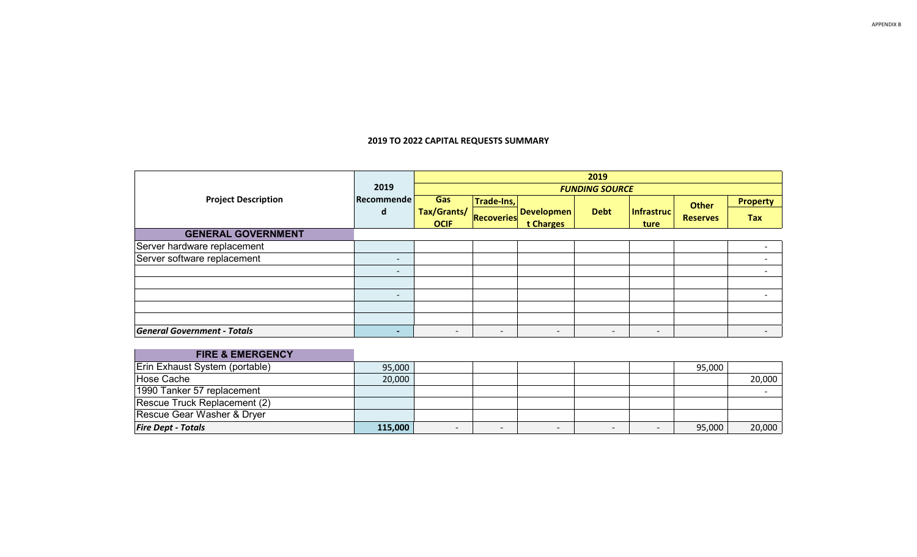|                                    |                          |             |                          |                          | 2019                     |                          |                 |                 |
|------------------------------------|--------------------------|-------------|--------------------------|--------------------------|--------------------------|--------------------------|-----------------|-----------------|
|                                    | 2019                     |             |                          |                          | <b>FUNDING SOURCE</b>    |                          |                 |                 |
| <b>Project Description</b>         | Recommende               | <b>Gas</b>  | Trade-Ins,               |                          |                          |                          | <b>Other</b>    | <b>Property</b> |
|                                    | d                        | Tax/Grants/ | Recoveries               | <b>Developmen</b>        | <b>Debt</b>              | <b>Infrastruc</b>        | <b>Reserves</b> | Tax             |
|                                    |                          | <b>OCIF</b> |                          | t Charges                |                          | ture                     |                 |                 |
| <b>GENERAL GOVERNMENT</b>          |                          |             |                          |                          |                          |                          |                 |                 |
| Server hardware replacement        |                          |             |                          |                          |                          |                          |                 |                 |
| Server software replacement        | $\overline{\phantom{a}}$ |             |                          |                          |                          |                          |                 |                 |
|                                    | $\blacksquare$           |             |                          |                          |                          |                          |                 |                 |
|                                    |                          |             |                          |                          |                          |                          |                 |                 |
|                                    | $\overline{\phantom{a}}$ |             |                          |                          |                          |                          |                 |                 |
|                                    |                          |             |                          |                          |                          |                          |                 |                 |
|                                    |                          |             |                          |                          |                          |                          |                 |                 |
| <b>General Government - Totals</b> | $\blacksquare$           |             | $\overline{\phantom{0}}$ | $\overline{\phantom{0}}$ | $\overline{\phantom{0}}$ | $\overline{\phantom{0}}$ |                 |                 |

| <b>FIRE &amp; EMERGENCY</b>    |         |                          |  |        |        |
|--------------------------------|---------|--------------------------|--|--------|--------|
| Erin Exhaust System (portable) | 95,000  |                          |  | 95,000 |        |
| Hose Cache                     | 20,000  |                          |  |        | 20,000 |
| 1990 Tanker 57 replacement     |         |                          |  |        |        |
| Rescue Truck Replacement (2)   |         |                          |  |        |        |
| Rescue Gear Washer & Dryer     |         |                          |  |        |        |
| <b>Fire Dept - Totals</b>      | 115,000 | $\overline{\phantom{0}}$ |  | 95,000 | 20,000 |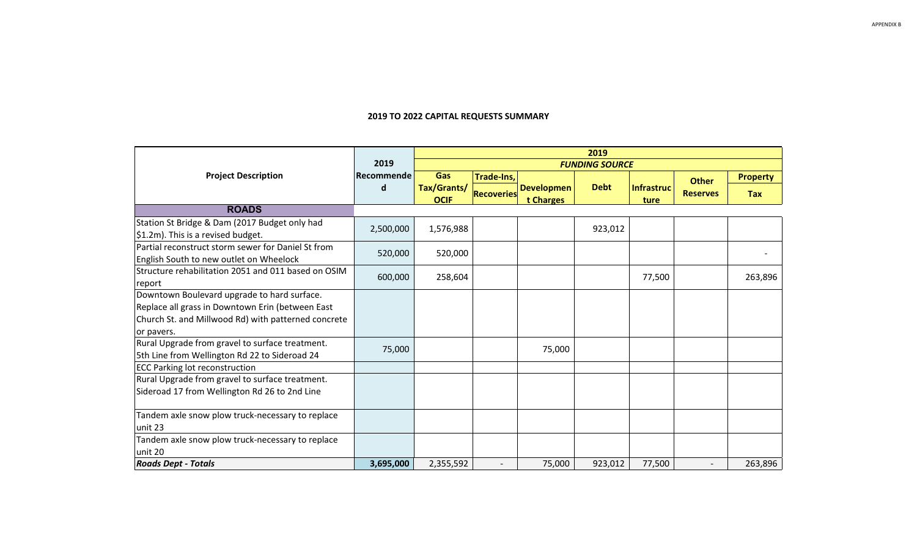|                                                     |            |                            |            |                                | 2019                  |                           |                 |                 |
|-----------------------------------------------------|------------|----------------------------|------------|--------------------------------|-----------------------|---------------------------|-----------------|-----------------|
|                                                     | 2019       |                            |            |                                | <b>FUNDING SOURCE</b> |                           |                 |                 |
| <b>Project Description</b>                          | Recommende | Gas                        | Trade-Ins, |                                |                       |                           | <b>Other</b>    | <b>Property</b> |
|                                                     | d          | Tax/Grants/<br><b>OCIF</b> | Recoveries | <b>Developmen</b><br>t Charges | <b>Debt</b>           | <b>Infrastruc</b><br>ture | <b>Reserves</b> | <b>Tax</b>      |
| <b>ROADS</b>                                        |            |                            |            |                                |                       |                           |                 |                 |
| Station St Bridge & Dam (2017 Budget only had       | 2,500,000  |                            |            |                                |                       |                           |                 |                 |
| \$1.2m). This is a revised budget.                  |            | 1,576,988                  |            |                                | 923,012               |                           |                 |                 |
| Partial reconstruct storm sewer for Daniel St from  | 520,000    | 520,000                    |            |                                |                       |                           |                 |                 |
| English South to new outlet on Wheelock             |            |                            |            |                                |                       |                           |                 |                 |
| Structure rehabilitation 2051 and 011 based on OSIM | 600,000    | 258,604                    |            |                                |                       | 77,500                    |                 | 263,896         |
| report                                              |            |                            |            |                                |                       |                           |                 |                 |
| Downtown Boulevard upgrade to hard surface.         |            |                            |            |                                |                       |                           |                 |                 |
| Replace all grass in Downtown Erin (between East    |            |                            |            |                                |                       |                           |                 |                 |
| Church St. and Millwood Rd) with patterned concrete |            |                            |            |                                |                       |                           |                 |                 |
| or pavers.                                          |            |                            |            |                                |                       |                           |                 |                 |
| Rural Upgrade from gravel to surface treatment.     | 75,000     |                            |            | 75,000                         |                       |                           |                 |                 |
| 5th Line from Wellington Rd 22 to Sideroad 24       |            |                            |            |                                |                       |                           |                 |                 |
| <b>ECC Parking lot reconstruction</b>               |            |                            |            |                                |                       |                           |                 |                 |
| Rural Upgrade from gravel to surface treatment.     |            |                            |            |                                |                       |                           |                 |                 |
| Sideroad 17 from Wellington Rd 26 to 2nd Line       |            |                            |            |                                |                       |                           |                 |                 |
| Tandem axle snow plow truck-necessary to replace    |            |                            |            |                                |                       |                           |                 |                 |
| unit 23                                             |            |                            |            |                                |                       |                           |                 |                 |
| Tandem axle snow plow truck-necessary to replace    |            |                            |            |                                |                       |                           |                 |                 |
| unit 20                                             |            |                            |            |                                |                       |                           |                 |                 |
| <b>Roads Dept - Totals</b>                          | 3,695,000  | 2,355,592                  |            | 75,000                         | 923,012               | 77,500                    |                 | 263,896         |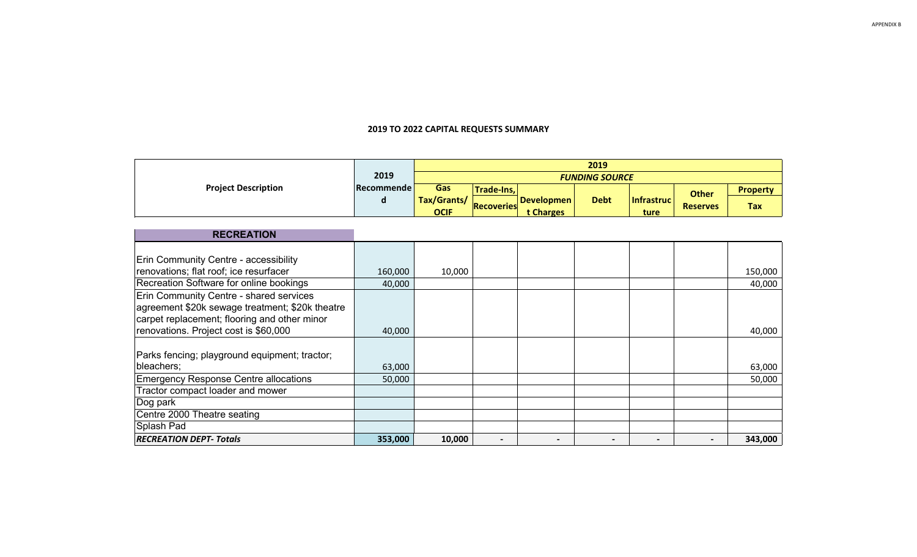|                            |            |             |                   |                   | 2019                  |            |                 |                 |
|----------------------------|------------|-------------|-------------------|-------------------|-----------------------|------------|-----------------|-----------------|
|                            | 2019       |             |                   |                   | <b>FUNDING SOURCE</b> |            |                 |                 |
| <b>Project Description</b> | Recommende | <b>Gas</b>  | <b>Trade-Ins,</b> |                   |                       |            | <b>Other</b>    | <b>Property</b> |
|                            | a          | Tax/Grants/ | Recoveries        | <b>Developmen</b> | <b>Debt</b>           | Infrastruc | <b>Reserves</b> | Tax             |
|                            |            | <b>OCIF</b> |                   | t Charges         |                       | ture       |                 |                 |
|                            |            |             |                   |                   |                       |            |                 |                 |

| <b>RECREATION</b>                               |         |        |                |  |  |         |
|-------------------------------------------------|---------|--------|----------------|--|--|---------|
|                                                 |         |        |                |  |  |         |
| <b>Erin Community Centre - accessibility</b>    |         |        |                |  |  |         |
| renovations; flat roof; ice resurfacer          | 160,000 | 10,000 |                |  |  | 150,000 |
| Recreation Software for online bookings         | 40,000  |        |                |  |  | 40,000  |
| <b>Erin Community Centre - shared services</b>  |         |        |                |  |  |         |
| agreement \$20k sewage treatment; \$20k theatre |         |        |                |  |  |         |
| carpet replacement; flooring and other minor    |         |        |                |  |  |         |
| renovations. Project cost is \$60,000           | 40,000  |        |                |  |  | 40,000  |
|                                                 |         |        |                |  |  |         |
| Parks fencing; playground equipment; tractor;   |         |        |                |  |  |         |
| bleachers;                                      | 63,000  |        |                |  |  | 63,000  |
| Emergency Response Centre allocations           | 50,000  |        |                |  |  | 50,000  |
| Tractor compact loader and mower                |         |        |                |  |  |         |
| Dog park                                        |         |        |                |  |  |         |
| Centre 2000 Theatre seating                     |         |        |                |  |  |         |
| Splash Pad                                      |         |        |                |  |  |         |
| <b>RECREATION DEPT- Totals</b>                  | 353,000 | 10,000 | $\blacksquare$ |  |  | 343,000 |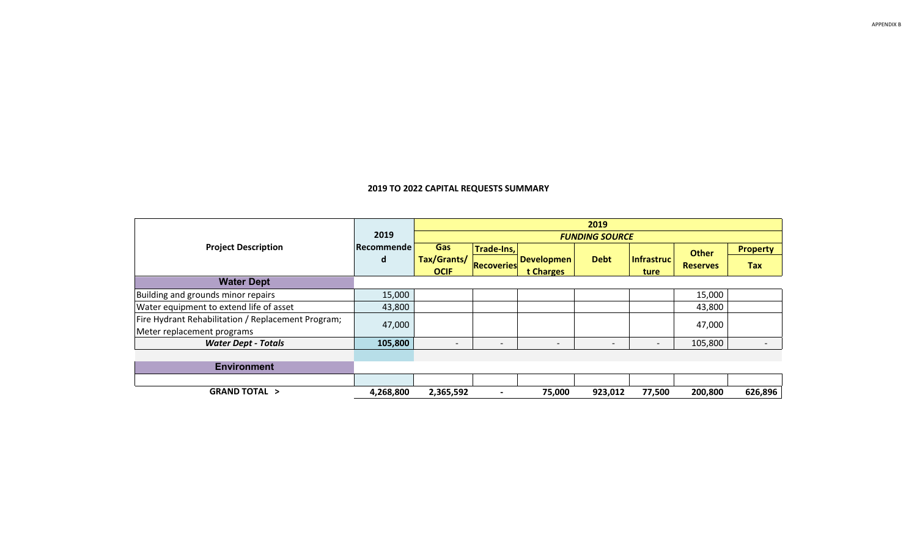|                                                    |            |                            |                          |                                | 2019                  |                           |                 |                          |
|----------------------------------------------------|------------|----------------------------|--------------------------|--------------------------------|-----------------------|---------------------------|-----------------|--------------------------|
|                                                    | 2019       |                            |                          |                                | <b>FUNDING SOURCE</b> |                           |                 |                          |
| <b>Project Description</b>                         | Recommende | Gas                        | Trade-Ins,               |                                |                       |                           | <b>Other</b>    | <b>Property</b>          |
|                                                    | d          | Tax/Grants/<br><b>OCIF</b> | <b>Recoveries</b>        | <b>Developmen</b><br>t Charges | <b>Debt</b>           | <b>Infrastruc</b><br>ture | <b>Reserves</b> | Tax                      |
| <b>Water Dept</b>                                  |            |                            |                          |                                |                       |                           |                 |                          |
| Building and grounds minor repairs                 | 15,000     |                            |                          |                                |                       |                           | 15,000          |                          |
| Water equipment to extend life of asset            | 43,800     |                            |                          |                                |                       |                           | 43,800          |                          |
| Fire Hydrant Rehabilitation / Replacement Program; | 47,000     |                            |                          |                                |                       |                           | 47,000          |                          |
| Meter replacement programs                         |            |                            |                          |                                |                       |                           |                 |                          |
| <b>Water Dept - Totals</b>                         | 105,800    |                            | $\overline{\phantom{0}}$ |                                |                       | $\overline{\phantom{a}}$  | 105,800         | $\overline{\phantom{0}}$ |
|                                                    |            |                            |                          |                                |                       |                           |                 |                          |
| <b>Environment</b>                                 |            |                            |                          |                                |                       |                           |                 |                          |
|                                                    |            |                            |                          |                                |                       |                           |                 |                          |
| <b>GRAND TOTAL &gt;</b>                            | 4,268,800  | 2,365,592                  |                          | 75,000                         | 923,012               | 77,500                    | 200,800         | 626,896                  |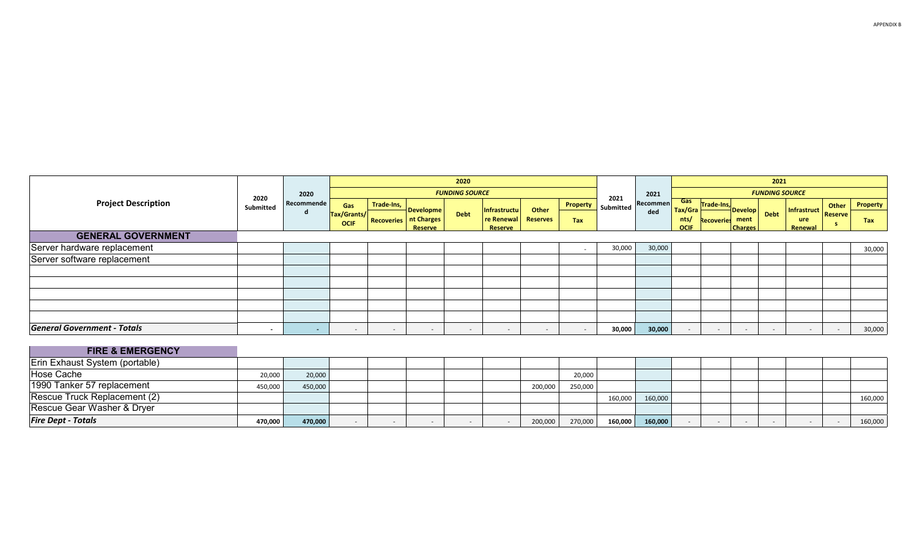|                                    |           |            |                            |            |                                           | 2020                     |                              |                 |          |           |          |                          |                          |                          | 2021                  |                          |                |          |
|------------------------------------|-----------|------------|----------------------------|------------|-------------------------------------------|--------------------------|------------------------------|-----------------|----------|-----------|----------|--------------------------|--------------------------|--------------------------|-----------------------|--------------------------|----------------|----------|
|                                    | 2020      | 2020       |                            |            |                                           | <b>FUNDING SOURCE</b>    |                              |                 |          | 2021      | 2021     |                          |                          |                          | <b>FUNDING SOURCE</b> |                          |                |          |
| <b>Project Description</b>         | Submitted | Recommende | Gas                        | Trade-Ins, | Developme                                 |                          | Infrastructu                 | Other           | Property | Submitted | Recommen | Gas<br>Tax/Gra           | Trade-Ins,               | <b>Develop</b>           |                       | Infrastruct              | Other          | Property |
|                                    |           | d          | Tax/Grants/<br><b>OCIF</b> |            | Recoveries   nt Charges<br><b>Reserve</b> | <b>Debt</b>              | re Renewal<br><b>Reserve</b> | <b>Reserves</b> | Tax      |           | ded      | nts/<br><b>OCIF</b>      | Recoveries               | ment<br><b>Charges</b>   | <b>Debt</b>           | ure<br>Renewal           | <b>Reserve</b> | Tax      |
| <b>GENERAL GOVERNMENT</b>          |           |            |                            |            |                                           |                          |                              |                 |          |           |          |                          |                          |                          |                       |                          |                |          |
| Server hardware replacement        |           |            |                            |            |                                           |                          |                              |                 | $\sim$   | 30,000    | 30,000   |                          |                          |                          |                       |                          |                | 30,000   |
| Server software replacement        |           |            |                            |            |                                           |                          |                              |                 |          |           |          |                          |                          |                          |                       |                          |                |          |
|                                    |           |            |                            |            |                                           |                          |                              |                 |          |           |          |                          |                          |                          |                       |                          |                |          |
|                                    |           |            |                            |            |                                           |                          |                              |                 |          |           |          |                          |                          |                          |                       |                          |                |          |
|                                    |           |            |                            |            |                                           |                          |                              |                 |          |           |          |                          |                          |                          |                       |                          |                |          |
|                                    |           |            |                            |            |                                           |                          |                              |                 |          |           |          |                          |                          |                          |                       |                          |                |          |
|                                    |           |            |                            |            |                                           |                          |                              |                 |          |           |          |                          |                          |                          |                       |                          |                |          |
| <b>General Government - Totals</b> | $\,$ –    |            | $\overline{\phantom{0}}$   |            | $\overline{\phantom{0}}$                  | $\overline{\phantom{0}}$ | $\overline{\phantom{0}}$     |                 | $\sim$   | 30,000    | 30,000   | $\overline{\phantom{a}}$ | $\overline{\phantom{0}}$ | $\overline{\phantom{a}}$ |                       | $\overline{\phantom{a}}$ | $\sim$         | 30,000   |
|                                    |           |            |                            |            |                                           |                          |                              |                 |          |           |          |                          |                          |                          |                       |                          |                |          |
| <b>FIRE &amp; EMERGENCY</b>        |           |            |                            |            |                                           |                          |                              |                 |          |           |          |                          |                          |                          |                       |                          |                |          |

| $\blacksquare$ $\blacksquare$ $\blacksquare$ $\blacksquare$ $\blacksquare$ $\blacksquare$ $\blacksquare$ $\blacksquare$ $\blacksquare$ $\blacksquare$ $\blacksquare$ $\blacksquare$ $\blacksquare$ $\blacksquare$ $\blacksquare$ $\blacksquare$ $\blacksquare$ $\blacksquare$ $\blacksquare$ $\blacksquare$ $\blacksquare$ $\blacksquare$ $\blacksquare$ $\blacksquare$ $\blacksquare$ $\blacksquare$ $\blacksquare$ $\blacksquare$ $\blacksquare$ $\blacksquare$ $\blacksquare$ $\blacks$ |         |         |  |  |         |         |         |         |  |  |  |         |
|--------------------------------------------------------------------------------------------------------------------------------------------------------------------------------------------------------------------------------------------------------------------------------------------------------------------------------------------------------------------------------------------------------------------------------------------------------------------------------------------|---------|---------|--|--|---------|---------|---------|---------|--|--|--|---------|
| Erin Exhaust System (portable)                                                                                                                                                                                                                                                                                                                                                                                                                                                             |         |         |  |  |         |         |         |         |  |  |  |         |
| Hose Cache                                                                                                                                                                                                                                                                                                                                                                                                                                                                                 | 20,000  | 20,000  |  |  |         | 20,000  |         |         |  |  |  |         |
| 1990 Tanker 57 replacement                                                                                                                                                                                                                                                                                                                                                                                                                                                                 | 450,000 | 450,000 |  |  | 200,000 | 250,000 |         |         |  |  |  |         |
| Rescue Truck Replacement (2)                                                                                                                                                                                                                                                                                                                                                                                                                                                               |         |         |  |  |         |         | 160,000 | 160,000 |  |  |  | 160,000 |
| Rescue Gear Washer & Dryer                                                                                                                                                                                                                                                                                                                                                                                                                                                                 |         |         |  |  |         |         |         |         |  |  |  |         |
| <b>Fire Dept - Totals</b>                                                                                                                                                                                                                                                                                                                                                                                                                                                                  | 470,000 | 470,000 |  |  | 200,000 | 270,000 | 160,000 | 160,000 |  |  |  | 160,000 |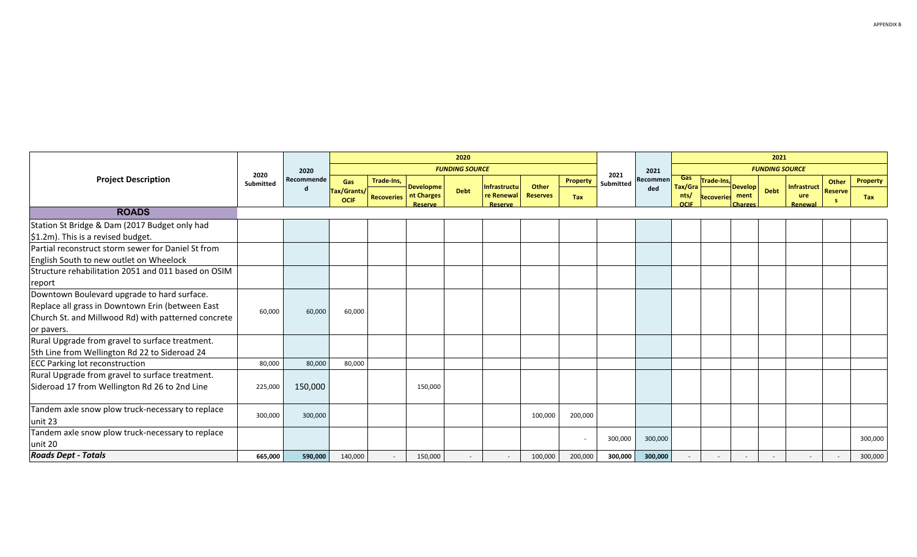|                                                     |           |            |                                   |                                 |                                                  | 2020                     |                                                     |                          |                 |                  |                 |                                       |                                 |                                   | 2021                  |                                             |                                |                 |
|-----------------------------------------------------|-----------|------------|-----------------------------------|---------------------------------|--------------------------------------------------|--------------------------|-----------------------------------------------------|--------------------------|-----------------|------------------|-----------------|---------------------------------------|---------------------------------|-----------------------------------|-----------------------|---------------------------------------------|--------------------------------|-----------------|
|                                                     | 2020      | 2020       |                                   |                                 |                                                  | <b>FUNDING SOURCE</b>    |                                                     |                          |                 | 2021             | 2021            |                                       |                                 |                                   | <b>FUNDING SOURCE</b> |                                             |                                |                 |
| <b>Project Description</b>                          | Submitted | Recommende | Gas<br>Tax/Grants/<br><b>OCIF</b> | Trade-Ins,<br><b>Recoveries</b> | <b>Developme</b><br>nt Charges<br><b>Reserve</b> | <b>Debt</b>              | <b>Infrastructu</b><br>re Renewal<br><b>Reserve</b> | Other<br><b>Reserves</b> | Property<br>Tax | <b>Submitted</b> | Recommen<br>ded | Gas<br>Tax/Gra<br>nts/<br><b>OCIF</b> | Trade-Ins,<br><b>Recoveries</b> | <b>Develop</b><br>ment<br>Charges | <b>Debt</b>           | <b>Infrastruct</b><br>ure<br><b>Renewal</b> | Other<br><b>Reserve</b><br>- S | Property<br>Tax |
| <b>ROADS</b>                                        |           |            |                                   |                                 |                                                  |                          |                                                     |                          |                 |                  |                 |                                       |                                 |                                   |                       |                                             |                                |                 |
| Station St Bridge & Dam (2017 Budget only had       |           |            |                                   |                                 |                                                  |                          |                                                     |                          |                 |                  |                 |                                       |                                 |                                   |                       |                                             |                                |                 |
| \$1.2m). This is a revised budget.                  |           |            |                                   |                                 |                                                  |                          |                                                     |                          |                 |                  |                 |                                       |                                 |                                   |                       |                                             |                                |                 |
| Partial reconstruct storm sewer for Daniel St from  |           |            |                                   |                                 |                                                  |                          |                                                     |                          |                 |                  |                 |                                       |                                 |                                   |                       |                                             |                                |                 |
| English South to new outlet on Wheelock             |           |            |                                   |                                 |                                                  |                          |                                                     |                          |                 |                  |                 |                                       |                                 |                                   |                       |                                             |                                |                 |
| Structure rehabilitation 2051 and 011 based on OSIM |           |            |                                   |                                 |                                                  |                          |                                                     |                          |                 |                  |                 |                                       |                                 |                                   |                       |                                             |                                |                 |
| report                                              |           |            |                                   |                                 |                                                  |                          |                                                     |                          |                 |                  |                 |                                       |                                 |                                   |                       |                                             |                                |                 |
| Downtown Boulevard upgrade to hard surface.         |           |            |                                   |                                 |                                                  |                          |                                                     |                          |                 |                  |                 |                                       |                                 |                                   |                       |                                             |                                |                 |
| Replace all grass in Downtown Erin (between East    | 60,000    | 60,000     | 60,000                            |                                 |                                                  |                          |                                                     |                          |                 |                  |                 |                                       |                                 |                                   |                       |                                             |                                |                 |
| Church St. and Millwood Rd) with patterned concrete |           |            |                                   |                                 |                                                  |                          |                                                     |                          |                 |                  |                 |                                       |                                 |                                   |                       |                                             |                                |                 |
| or pavers.                                          |           |            |                                   |                                 |                                                  |                          |                                                     |                          |                 |                  |                 |                                       |                                 |                                   |                       |                                             |                                |                 |
| Rural Upgrade from gravel to surface treatment.     |           |            |                                   |                                 |                                                  |                          |                                                     |                          |                 |                  |                 |                                       |                                 |                                   |                       |                                             |                                |                 |
| 5th Line from Wellington Rd 22 to Sideroad 24       |           |            |                                   |                                 |                                                  |                          |                                                     |                          |                 |                  |                 |                                       |                                 |                                   |                       |                                             |                                |                 |
| <b>ECC Parking lot reconstruction</b>               | 80,000    | 80,000     | 80,000                            |                                 |                                                  |                          |                                                     |                          |                 |                  |                 |                                       |                                 |                                   |                       |                                             |                                |                 |
| Rural Upgrade from gravel to surface treatment.     |           |            |                                   |                                 |                                                  |                          |                                                     |                          |                 |                  |                 |                                       |                                 |                                   |                       |                                             |                                |                 |
| Sideroad 17 from Wellington Rd 26 to 2nd Line       | 225,000   | 150,000    |                                   |                                 | 150,000                                          |                          |                                                     |                          |                 |                  |                 |                                       |                                 |                                   |                       |                                             |                                |                 |
|                                                     |           |            |                                   |                                 |                                                  |                          |                                                     |                          |                 |                  |                 |                                       |                                 |                                   |                       |                                             |                                |                 |
| Tandem axle snow plow truck-necessary to replace    | 300,000   | 300,000    |                                   |                                 |                                                  |                          |                                                     | 100,000                  | 200,000         |                  |                 |                                       |                                 |                                   |                       |                                             |                                |                 |
| unit 23                                             |           |            |                                   |                                 |                                                  |                          |                                                     |                          |                 |                  |                 |                                       |                                 |                                   |                       |                                             |                                |                 |
| Tandem axle snow plow truck-necessary to replace    |           |            |                                   |                                 |                                                  |                          |                                                     |                          | $\sim$          | 300,000          | 300,000         |                                       |                                 |                                   |                       |                                             |                                | 300,000         |
| unit 20                                             |           |            |                                   |                                 |                                                  |                          |                                                     |                          |                 |                  |                 |                                       |                                 |                                   |                       |                                             |                                |                 |
| <b>Roads Dept - Totals</b>                          | 665.000   | 590.000    | 140,000                           |                                 | 150,000                                          | $\overline{\phantom{a}}$ |                                                     | 100,000                  | 200,000         | 300,000          | 300,000         |                                       |                                 | $\overline{\phantom{a}}$          |                       |                                             | $\overline{\phantom{a}}$       | 300,000         |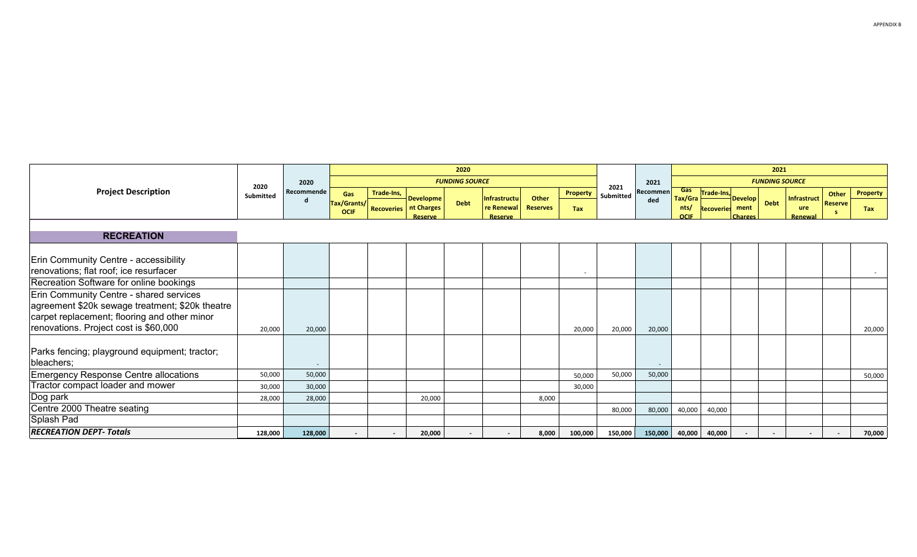|                                                                                                                                                                                     |           |            |                                   |                                                                              | 2020                  |                                              |                          |                 |           |                 |                                       |                                 |                            | 2021                  |                              |                                                   |
|-------------------------------------------------------------------------------------------------------------------------------------------------------------------------------------|-----------|------------|-----------------------------------|------------------------------------------------------------------------------|-----------------------|----------------------------------------------|--------------------------|-----------------|-----------|-----------------|---------------------------------------|---------------------------------|----------------------------|-----------------------|------------------------------|---------------------------------------------------|
|                                                                                                                                                                                     | 2020      | 2020       |                                   |                                                                              | <b>FUNDING SOURCE</b> |                                              |                          |                 | 2021      | 2021            |                                       |                                 |                            | <b>FUNDING SOURCE</b> |                              |                                                   |
| <b>Project Description</b>                                                                                                                                                          | Submitted | Recommende | Gas<br>Tax/Grants/<br><b>OCIF</b> | Trade-Ins,<br><b>Developme</b><br>nt Charges<br><b>Recoveries</b><br>Reserve | <b>Debt</b>           | Infrastructu<br>re Renewal<br><b>Reserve</b> | Other<br><b>Reserves</b> | Property<br>Tax | Submitted | Recommen<br>ded | Gas<br>Tax/Gra<br>nts/<br><b>OCIF</b> | Trade-Ins,<br><b>Recoveries</b> | Develop<br>ment<br>Charges | <b>Debt</b>           | Infrastruct<br>ure<br>Renewa | Property<br>Other<br><b>Reserve</b><br>Tax<br>- 5 |
| <b>RECREATION</b>                                                                                                                                                                   |           |            |                                   |                                                                              |                       |                                              |                          |                 |           |                 |                                       |                                 |                            |                       |                              |                                                   |
| <b>Erin Community Centre - accessibility</b><br>renovations; flat roof; ice resurfacer<br>Recreation Software for online bookings                                                   |           |            |                                   |                                                                              |                       |                                              |                          | $\sim$          |           |                 |                                       |                                 |                            |                       |                              |                                                   |
| Erin Community Centre - shared services<br>agreement \$20k sewage treatment; \$20k theatre<br>carpet replacement; flooring and other minor<br>renovations. Project cost is \$60,000 | 20,000    | 20,000     |                                   |                                                                              |                       |                                              |                          | 20,000          | 20,000    | 20,000          |                                       |                                 |                            |                       |                              | 20,000                                            |
| Parks fencing; playground equipment; tractor;<br>bleachers;                                                                                                                         |           | $\sim$     |                                   |                                                                              |                       |                                              |                          |                 |           |                 |                                       |                                 |                            |                       |                              |                                                   |
| Emergency Response Centre allocations                                                                                                                                               | 50,000    | 50,000     |                                   |                                                                              |                       |                                              |                          | 50,000          | 50,000    | 50,000          |                                       |                                 |                            |                       |                              | 50,000                                            |
| Tractor compact loader and mower                                                                                                                                                    | 30,000    | 30,000     |                                   |                                                                              |                       |                                              |                          | 30,000          |           |                 |                                       |                                 |                            |                       |                              |                                                   |
| Dog park                                                                                                                                                                            | 28,000    | 28,000     |                                   | 20.000                                                                       |                       |                                              | 8.000                    |                 |           |                 |                                       |                                 |                            |                       |                              |                                                   |
| Centre 2000 Theatre seating                                                                                                                                                         |           |            |                                   |                                                                              |                       |                                              |                          |                 | 80,000    | 80,000          | 40,000                                | 40,000                          |                            |                       |                              |                                                   |
| Splash Pad                                                                                                                                                                          |           |            |                                   |                                                                              |                       |                                              |                          |                 |           |                 |                                       |                                 |                            |                       |                              |                                                   |
| <b>RECREATION DEPT- Totals</b>                                                                                                                                                      | 128,000   | 128,000    | $\blacksquare$                    | 20,000                                                                       | $\,$ – $\,$           |                                              | 8,000                    | 100,000         | 150,000   | 150,000         | 40,000                                | 40,000                          | $\overline{\phantom{a}}$   |                       | $\blacksquare$               | 70,000<br>$\sim$                                  |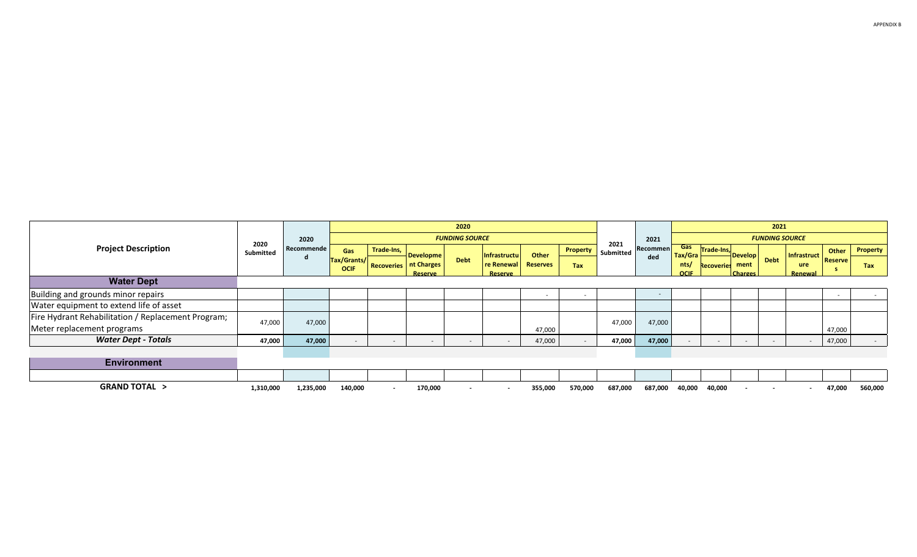|                                                    |           |                 |                                   |            |                                                             | 2020                     |                                               |                          |                          |           |                        |                                       |                                 |                                          | 2021        |                                      |                  |                          |  |  |  |  |  |  |  |  |        |  |
|----------------------------------------------------|-----------|-----------------|-----------------------------------|------------|-------------------------------------------------------------|--------------------------|-----------------------------------------------|--------------------------|--------------------------|-----------|------------------------|---------------------------------------|---------------------------------|------------------------------------------|-------------|--------------------------------------|------------------|--------------------------|--|--|--|--|--|--|--|--|--------|--|
|                                                    | 2020      | 2020            |                                   |            |                                                             | 2021                     | 2021                                          | <b>FUNDING SOURCE</b>    |                          |           |                        |                                       |                                 |                                          |             |                                      |                  |                          |  |  |  |  |  |  |  |  |        |  |
| <b>Project Description</b>                         | Submitted | Recommende<br>a | Gas<br>Tax/Grants/<br><b>OCIF</b> | Trade-Ins, | <b>Developme</b><br><b>Recoveries</b> nt Charges<br>Reserve | <b>Debt</b>              | Infrastructu <br>re Renewal<br><b>Reserve</b> | Other<br><b>Reserves</b> | Property<br><b>Tax</b>   | Submitted | <b>Recommen</b><br>ded | Gas<br>Tax/Gra<br>nts/<br><b>OCIF</b> | Trade-Ins,<br><b>Recoveries</b> | <b>Develop</b><br>ment<br><b>Charges</b> | <b>Debt</b> | Infrastruct<br><b>ure</b><br>Renewal | Other<br>Reserve | Property<br><b>Tax</b>   |  |  |  |  |  |  |  |  |        |  |
| <b>Water Dept</b>                                  |           |                 |                                   |            |                                                             |                          |                                               |                          |                          |           |                        |                                       |                                 |                                          |             |                                      |                  |                          |  |  |  |  |  |  |  |  |        |  |
| Building and grounds minor repairs                 |           |                 |                                   |            |                                                             |                          |                                               | $\overline{\phantom{a}}$ | $\overline{\phantom{a}}$ |           | $\sim$                 |                                       |                                 |                                          |             |                                      | $\sim$           | $\overline{\phantom{0}}$ |  |  |  |  |  |  |  |  |        |  |
| Water equipment to extend life of asset            |           |                 |                                   |            |                                                             |                          |                                               |                          |                          |           |                        |                                       |                                 |                                          |             |                                      |                  |                          |  |  |  |  |  |  |  |  |        |  |
| Fire Hydrant Rehabilitation / Replacement Program; | 47,000    | 47,000          |                                   |            |                                                             |                          |                                               |                          |                          | 47,000    | 47,000                 |                                       |                                 |                                          |             |                                      |                  |                          |  |  |  |  |  |  |  |  |        |  |
| Meter replacement programs                         |           |                 |                                   |            |                                                             |                          |                                               |                          |                          |           |                        |                                       |                                 |                                          |             |                                      |                  | 47,000                   |  |  |  |  |  |  |  |  | 47,000 |  |
| <b>Water Dept - Totals</b>                         | 47,000    | 47,000          | $\overline{\phantom{a}}$          |            |                                                             | $\overline{\phantom{0}}$ |                                               | 47,000                   | $\sim$                   | 47,000    | 47,000                 |                                       |                                 | $\sim$                                   |             |                                      | 47,000           | $\sim$                   |  |  |  |  |  |  |  |  |        |  |
|                                                    |           |                 |                                   |            |                                                             |                          |                                               |                          |                          |           |                        |                                       |                                 |                                          |             |                                      |                  |                          |  |  |  |  |  |  |  |  |        |  |
| <b>Environment</b>                                 |           |                 |                                   |            |                                                             |                          |                                               |                          |                          |           |                        |                                       |                                 |                                          |             |                                      |                  |                          |  |  |  |  |  |  |  |  |        |  |
|                                                    |           |                 |                                   |            |                                                             |                          |                                               |                          |                          |           |                        |                                       |                                 |                                          |             |                                      |                  |                          |  |  |  |  |  |  |  |  |        |  |
| <b>GRAND TOTAL &gt;</b>                            | 1,310,000 | 1,235,000       | 140,000                           |            | 170,000                                                     | $\sim$                   | $\overline{\phantom{a}}$                      | 355,000                  | 570,000                  | 687,000   | 687,000                | 40,000                                | 40,000                          | $\sim$                                   | $\sim$      |                                      | 47,000           | 560,000                  |  |  |  |  |  |  |  |  |        |  |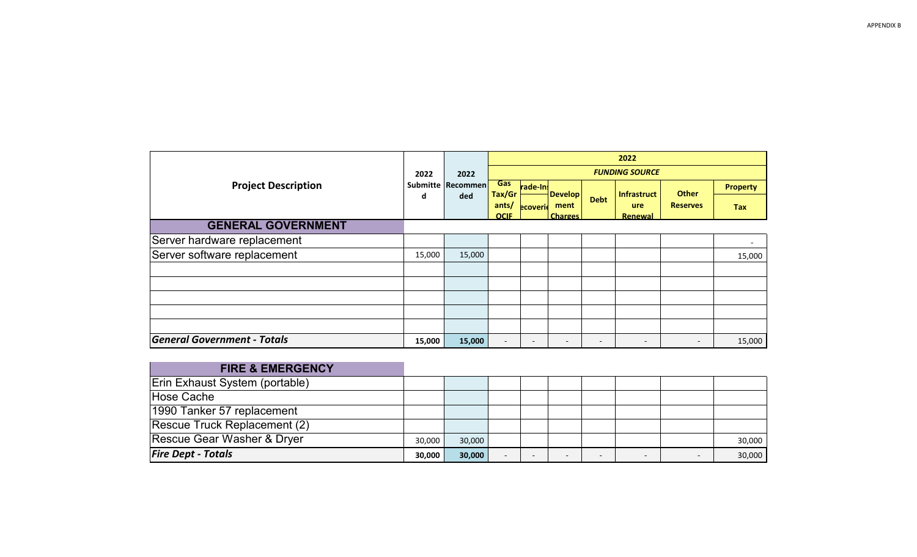|                                    | 2022   | 2022              | 2022                  |                 |                          |                 |                                  |                          |                 |  |  |
|------------------------------------|--------|-------------------|-----------------------|-----------------|--------------------------|-----------------|----------------------------------|--------------------------|-----------------|--|--|
|                                    |        |                   | <b>FUNDING SOURCE</b> |                 |                          |                 |                                  |                          |                 |  |  |
| <b>Project Description</b>         |        | Submitte Recommen | <b>Gas</b><br>Tax/Gr  | rade-In:        | <b>Develop</b><br>ment   | <b>Debt</b>     | <b>Infrastruct</b><br><b>ure</b> | <b>Other</b>             | <b>Property</b> |  |  |
|                                    | d      | ded               | ants/                 | ecoverio        |                          |                 |                                  | <b>Reserves</b>          | Tax             |  |  |
|                                    |        |                   | <b>OCIF</b>           |                 | <b>Charges</b>           |                 | <b>Renewal</b>                   |                          |                 |  |  |
| <b>GENERAL GOVERNMENT</b>          |        |                   |                       |                 |                          |                 |                                  |                          |                 |  |  |
| Server hardware replacement        |        |                   |                       |                 |                          |                 |                                  |                          |                 |  |  |
| Server software replacement        | 15,000 | 15,000            |                       |                 |                          |                 |                                  |                          | 15,000          |  |  |
|                                    |        |                   |                       |                 |                          |                 |                                  |                          |                 |  |  |
|                                    |        |                   |                       |                 |                          |                 |                                  |                          |                 |  |  |
|                                    |        |                   |                       |                 |                          |                 |                                  |                          |                 |  |  |
|                                    |        |                   |                       |                 |                          |                 |                                  |                          |                 |  |  |
|                                    |        |                   |                       |                 |                          |                 |                                  |                          |                 |  |  |
| <b>General Government - Totals</b> | 15,000 | 15,000            |                       | $\qquad \qquad$ | $\overline{\phantom{0}}$ | $\qquad \qquad$ | $\overline{\phantom{0}}$         | $\overline{\phantom{a}}$ | 15,000          |  |  |

| <b>FIRE &amp; EMERGENCY</b>    |        |        |  |  |  |        |
|--------------------------------|--------|--------|--|--|--|--------|
| Erin Exhaust System (portable) |        |        |  |  |  |        |
| Hose Cache                     |        |        |  |  |  |        |
| 1990 Tanker 57 replacement     |        |        |  |  |  |        |
| Rescue Truck Replacement (2)   |        |        |  |  |  |        |
| Rescue Gear Washer & Dryer     | 30.000 | 30,000 |  |  |  | 30,000 |
| <b>Fire Dept - Totals</b>      | 30,000 | 30,000 |  |  |  | 30,000 |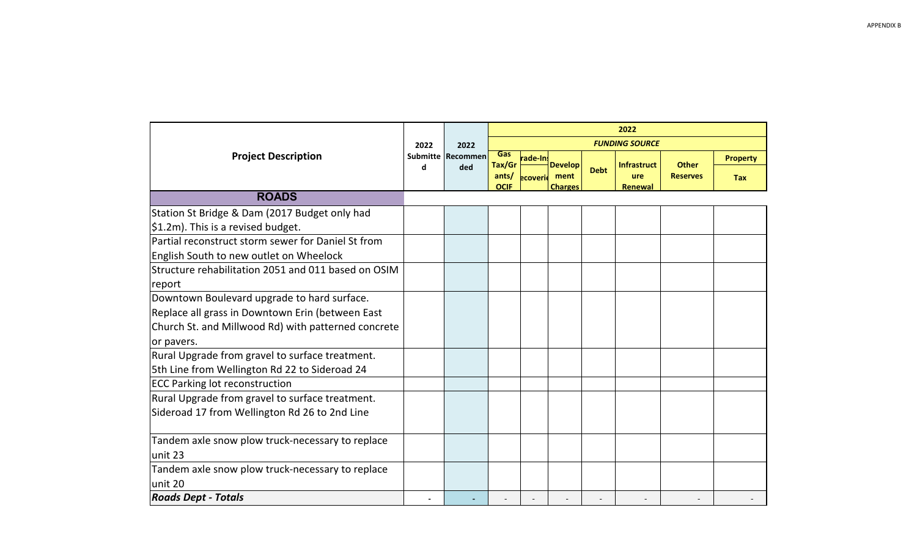|                                                     |           | 2022<br>Submitte Recommen<br>ded | 2022                   |                      |                        |             |                                  |                                 |                               |  |  |
|-----------------------------------------------------|-----------|----------------------------------|------------------------|----------------------|------------------------|-------------|----------------------------------|---------------------------------|-------------------------------|--|--|
|                                                     | 2022<br>d |                                  | <b>FUNDING SOURCE</b>  |                      |                        |             |                                  |                                 |                               |  |  |
| <b>Project Description</b>                          |           |                                  | Gas<br>Tax/Gr<br>ants/ | rade-In:<br>ecoverio | <b>Develop</b><br>ment | <b>Debt</b> | <b>Infrastruct</b><br><b>ure</b> | <b>Other</b><br><b>Reserves</b> | <b>Property</b><br><b>Tax</b> |  |  |
|                                                     |           |                                  | <b>OCIF</b>            |                      | <b>Charges</b>         |             | Renewal                          |                                 |                               |  |  |
| <b>ROADS</b>                                        |           |                                  |                        |                      |                        |             |                                  |                                 |                               |  |  |
| Station St Bridge & Dam (2017 Budget only had       |           |                                  |                        |                      |                        |             |                                  |                                 |                               |  |  |
| \$1.2m). This is a revised budget.                  |           |                                  |                        |                      |                        |             |                                  |                                 |                               |  |  |
| Partial reconstruct storm sewer for Daniel St from  |           |                                  |                        |                      |                        |             |                                  |                                 |                               |  |  |
| English South to new outlet on Wheelock             |           |                                  |                        |                      |                        |             |                                  |                                 |                               |  |  |
| Structure rehabilitation 2051 and 011 based on OSIM |           |                                  |                        |                      |                        |             |                                  |                                 |                               |  |  |
| report                                              |           |                                  |                        |                      |                        |             |                                  |                                 |                               |  |  |
| Downtown Boulevard upgrade to hard surface.         |           |                                  |                        |                      |                        |             |                                  |                                 |                               |  |  |
| Replace all grass in Downtown Erin (between East    |           |                                  |                        |                      |                        |             |                                  |                                 |                               |  |  |
| Church St. and Millwood Rd) with patterned concrete |           |                                  |                        |                      |                        |             |                                  |                                 |                               |  |  |
| or pavers.                                          |           |                                  |                        |                      |                        |             |                                  |                                 |                               |  |  |
| Rural Upgrade from gravel to surface treatment.     |           |                                  |                        |                      |                        |             |                                  |                                 |                               |  |  |
| 5th Line from Wellington Rd 22 to Sideroad 24       |           |                                  |                        |                      |                        |             |                                  |                                 |                               |  |  |
| <b>ECC Parking lot reconstruction</b>               |           |                                  |                        |                      |                        |             |                                  |                                 |                               |  |  |
| Rural Upgrade from gravel to surface treatment.     |           |                                  |                        |                      |                        |             |                                  |                                 |                               |  |  |
| Sideroad 17 from Wellington Rd 26 to 2nd Line       |           |                                  |                        |                      |                        |             |                                  |                                 |                               |  |  |
| Tandem axle snow plow truck-necessary to replace    |           |                                  |                        |                      |                        |             |                                  |                                 |                               |  |  |
| unit 23                                             |           |                                  |                        |                      |                        |             |                                  |                                 |                               |  |  |
| Tandem axle snow plow truck-necessary to replace    |           |                                  |                        |                      |                        |             |                                  |                                 |                               |  |  |
| unit 20                                             |           |                                  |                        |                      |                        |             |                                  |                                 |                               |  |  |
| <b>Roads Dept - Totals</b>                          |           |                                  |                        |                      |                        |             |                                  |                                 |                               |  |  |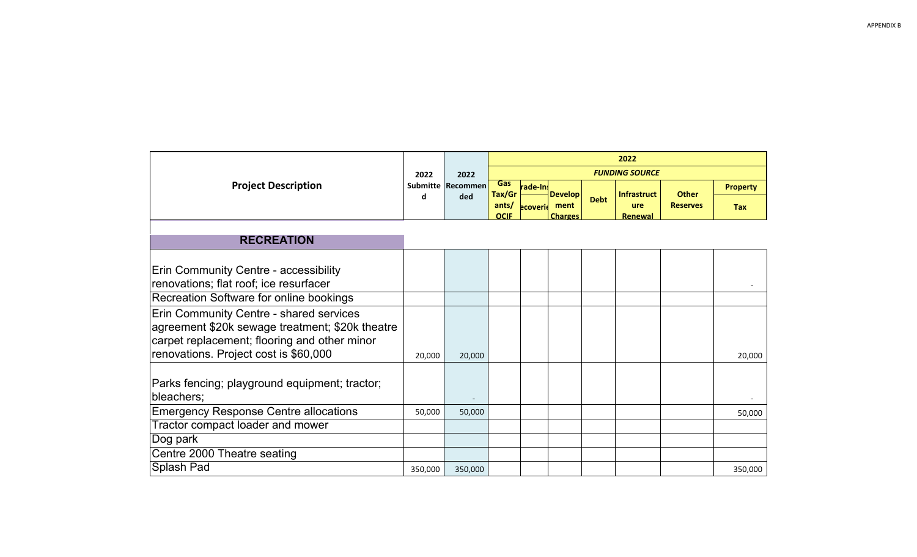|                                                                                                                                                                                     |         |                   | 2022                 |          |                                          |                       |                       |                 |                 |  |  |  |
|-------------------------------------------------------------------------------------------------------------------------------------------------------------------------------------|---------|-------------------|----------------------|----------|------------------------------------------|-----------------------|-----------------------|-----------------|-----------------|--|--|--|
|                                                                                                                                                                                     | 2022    | 2022              |                      |          |                                          | <b>FUNDING SOURCE</b> |                       |                 |                 |  |  |  |
| <b>Project Description</b>                                                                                                                                                          | d       | Submitte Recommen | Gas<br>Tax/Gr        | rade-In: |                                          |                       | <b>Infrastruct</b>    | <b>Other</b>    | <b>Property</b> |  |  |  |
|                                                                                                                                                                                     |         | ded               | ants/<br><b>OCIF</b> | ecoverid | <b>Develop</b><br>ment<br><b>Charges</b> | <b>Debt</b>           | ure<br><b>Renewal</b> | <b>Reserves</b> | <b>Tax</b>      |  |  |  |
|                                                                                                                                                                                     |         |                   |                      |          |                                          |                       |                       |                 |                 |  |  |  |
| <b>RECREATION</b>                                                                                                                                                                   |         |                   |                      |          |                                          |                       |                       |                 |                 |  |  |  |
| Erin Community Centre - accessibility<br>renovations; flat roof; ice resurfacer                                                                                                     |         |                   |                      |          |                                          |                       |                       |                 |                 |  |  |  |
| Recreation Software for online bookings                                                                                                                                             |         |                   |                      |          |                                          |                       |                       |                 |                 |  |  |  |
| Erin Community Centre - shared services<br>agreement \$20k sewage treatment; \$20k theatre<br>carpet replacement; flooring and other minor<br>renovations. Project cost is \$60,000 | 20,000  | 20,000            |                      |          |                                          |                       |                       |                 | 20,000          |  |  |  |
| Parks fencing; playground equipment; tractor;<br>bleachers;                                                                                                                         |         |                   |                      |          |                                          |                       |                       |                 |                 |  |  |  |
| <b>Emergency Response Centre allocations</b>                                                                                                                                        | 50,000  | 50,000            |                      |          |                                          |                       |                       |                 | 50,000          |  |  |  |
| Tractor compact loader and mower                                                                                                                                                    |         |                   |                      |          |                                          |                       |                       |                 |                 |  |  |  |
| Dog park                                                                                                                                                                            |         |                   |                      |          |                                          |                       |                       |                 |                 |  |  |  |
| Centre 2000 Theatre seating                                                                                                                                                         |         |                   |                      |          |                                          |                       |                       |                 |                 |  |  |  |
| Splash Pad                                                                                                                                                                          | 350,000 | 350,000           |                      |          |                                          |                       |                       |                 | 350,000         |  |  |  |